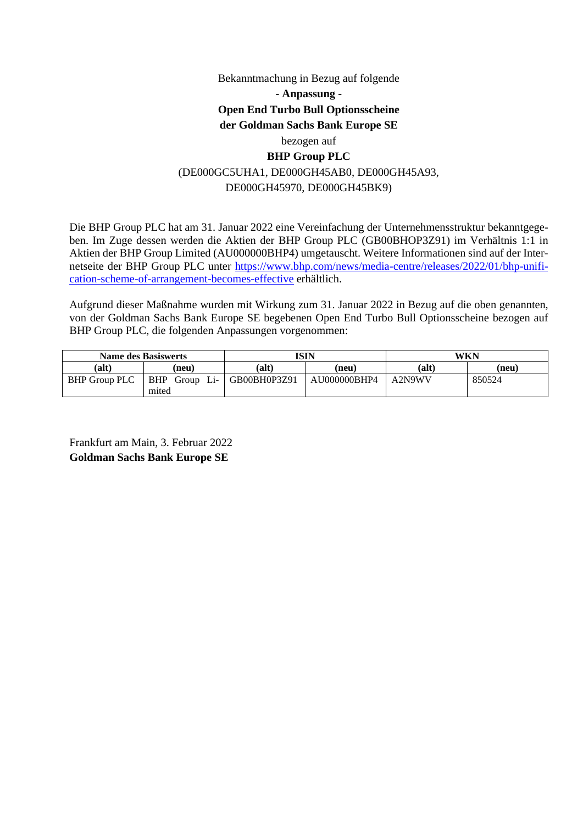# Bekanntmachung in Bezug auf folgende **- Anpassung - Open End Turbo Bull Optionsscheine der Goldman Sachs Bank Europe SE**  bezogen auf **BHP Group PLC**  (DE000GC5UHA1, DE000GH45AB0, DE000GH45A93, DE000GH45970, DE000GH45BK9)

Die BHP Group PLC hat am 31. Januar 2022 eine Vereinfachung der Unternehmensstruktur bekanntgegeben. Im Zuge dessen werden die Aktien der BHP Group PLC (GB00BHOP3Z91) im Verhältnis 1:1 in Aktien der BHP Group Limited (AU000000BHP4) umgetauscht. Weitere Informationen sind auf der Internetseite der BHP Group PLC unter [https://www.bhp.com/news/media-centre/releases/2022/01/bhp-unifi](https://www.bhp.com/news/media-centre/releases/2022/01/bhp-unification-scheme-of-arrangement-becomes-effective)[cation-scheme-of-arrangement-becomes-effective erhältlich.](https://www.bhp.com/news/media-centre/releases/2022/01/bhp-unification-scheme-of-arrangement-becomes-effective) 

Aufgrund dieser Maßnahme wurden mit Wirkung zum 31. Januar 2022 in Bezug auf die oben genannten, von der Goldman Sachs Bank Europe SE begebenen Open End Turbo Bull Optionsscheine bezogen auf BHP Group PLC, die folgenden Anpassungen vorgenommen:

| <b>Name des Basiswerts</b> |                     | ISIN         |              | WKN    |        |
|----------------------------|---------------------|--------------|--------------|--------|--------|
| (alt)                      | (neu)               | (alt)        | (neu)        | (alt)  | (new)  |
| <b>BHP Group PLC</b>       | Li-<br>BHP<br>Group | GB00BH0P3Z91 | AU000000BHP4 | A2N9WV | 850524 |
|                            | mited               |              |              |        |        |

Frankfurt am Main, 3. Februar 2022 **Goldman Sachs Bank Europe SE**